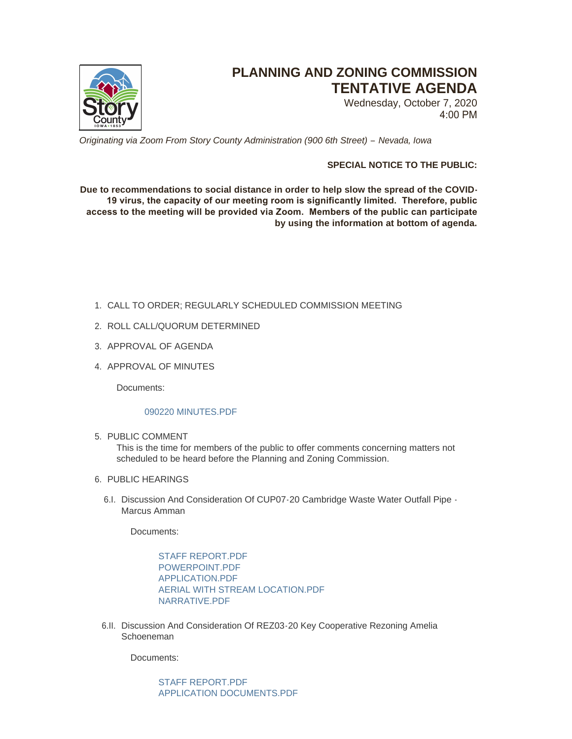

# **PLANNING AND ZONING COMMISSION TENTATIVE AGENDA**

Wednesday, October 7, 2020 4:00 PM

*Originating via Zoom From Story County Administration (900 6th Street) – Nevada, Iowa*

# **SPECIAL NOTICE TO THE PUBLIC:**

**Due to recommendations to social distance in order to help slow the spread of the COVID-19 virus, the capacity of our meeting room is significantly limited. Therefore, public access to the meeting will be provided via Zoom. Members of the public can participate by using the information at bottom of agenda.**

- CALL TO ORDER; REGULARLY SCHEDULED COMMISSION MEETING 1.
- 2. ROLL CALL/QUORUM DETERMINED
- 3. APPROVAL OF AGENDA
- 4. APPROVAL OF MINUTES

Documents:

## [090220 MINUTES.PDF](http://www.storycountyiowa.gov/AgendaCenter/ViewFile/Item/19177?fileID=14542)

5. PUBLIC COMMENT

This is the time for members of the public to offer comments concerning matters not scheduled to be heard before the Planning and Zoning Commission.

- 6. PUBLIC HEARINGS
	- 6.I. Discussion And Consideration Of CUP07-20 Cambridge Waste Water Outfall Pipe -Marcus Amman

Documents:

[STAFF REPORT.PDF](http://www.storycountyiowa.gov/AgendaCenter/ViewFile/Item/19172?fileID=14534) POWERPOINT PDF [APPLICATION.PDF](http://www.storycountyiowa.gov/AgendaCenter/ViewFile/Item/19172?fileID=14536) [AERIAL WITH STREAM LOCATION.PDF](http://www.storycountyiowa.gov/AgendaCenter/ViewFile/Item/19172?fileID=14537) [NARRATIVE.PDF](http://www.storycountyiowa.gov/AgendaCenter/ViewFile/Item/19172?fileID=14538)

6.II. Discussion And Consideration Of REZ03-20 Key Cooperative Rezoning Amelia Schoeneman

Documents:

[STAFF REPORT.PDF](http://www.storycountyiowa.gov/AgendaCenter/ViewFile/Item/19173?fileID=14539) [APPLICATION DOCUMENTS.PDF](http://www.storycountyiowa.gov/AgendaCenter/ViewFile/Item/19173?fileID=14540)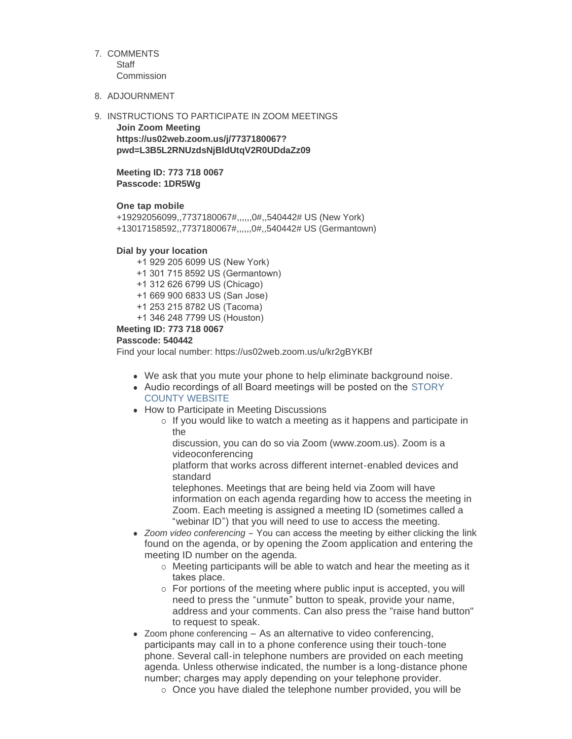## 7. COMMENTS

**Staff Commission** 

## 8. ADJOURNMENT

## 9. INSTRUCTIONS TO PARTICIPATE IN ZOOM MEETINGS

**Join Zoom Meeting https://us02web.zoom.us/j/7737180067? pwd=L3B5L2RNUzdsNjBldUtqV2R0UDdaZz09**

## **Meeting ID: 773 718 0067 Passcode: 1DR5Wg**

**One tap mobile**

+19292056099,,7737180067#,,,,,,0#,,540442# US (New York) +13017158592,,7737180067#,,,,,,0#,,540442# US (Germantown)

## **Dial by your location**

+1 929 205 6099 US (New York)

- +1 301 715 8592 US (Germantown)
- +1 312 626 6799 US (Chicago)

+1 669 900 6833 US (San Jose)

- +1 253 215 8782 US (Tacoma)
- +1 346 248 7799 US (Houston)

## **Meeting ID: 773 718 0067**

## **Passcode: 540442**

Find your local number: https://us02web.zoom.us/u/kr2gBYKBf

- We ask that you mute your phone to help eliminate background noise.
- Audio recordings of all Board meetings will be posted on the STORY COUNTY WEBSITE
- How to Participate in Meeting Discussions
	- $\circ$  If you would like to watch a meeting as it happens and participate in the

discussion, you can do so via Zoom (www.zoom.us). Zoom is a videoconferencing

platform that works across different internet-enabled devices and standard

telephones. Meetings that are being held via Zoom will have information on each agenda regarding how to access the meeting in Zoom. Each meeting is assigned a meeting ID (sometimes called a "webinar ID") that you will need to use to access the meeting.

- *Zoom video conferencing* You can access the meeting by either clicking the link found on the agenda, or by opening the Zoom application and entering the meeting ID number on the agenda.
	- $\circ$  Meeting participants will be able to watch and hear the meeting as it takes place.
	- $\circ$  For portions of the meeting where public input is accepted, you will need to press the "unmute" button to speak, provide your name, address and your comments. Can also press the "raise hand button" to request to speak.
- $\bullet$  Zoom phone conferencing As an alternative to video conferencing, participants may call in to a phone conference using their touch-tone phone. Several call-in telephone numbers are provided on each meeting agenda. Unless otherwise indicated, the number is a long-distance phone number; charges may apply depending on your telephone provider.
	- $\circ$  Once you have dialed the telephone number provided, you will be